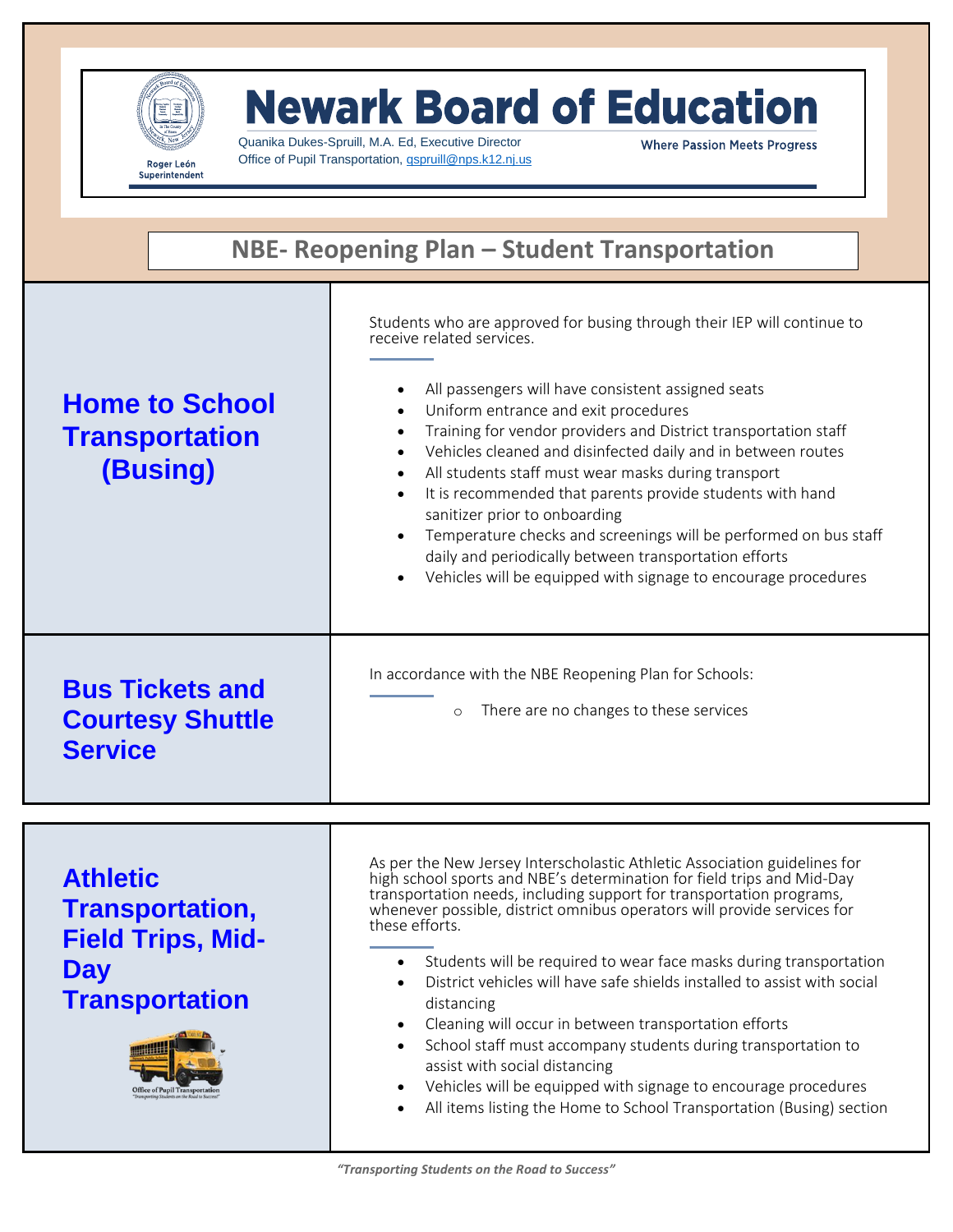

## **Newark Board of Education**

Quanika Dukes-Spruill, M.A. Ed, Executive Director Office of Pupil Transportation, *[qspruill@nps.k12.nj.us](mailto:qspruill@nps.k12.nj.us)* 

**Where Passion Meets Progress** 

| NBE- Reopening Plan - Student Transportation                                                                                                |                                                                                                                                                                                                                                                                                                                                                                                                                                                                                                                                                                                                                                                                                                                                                                                                            |
|---------------------------------------------------------------------------------------------------------------------------------------------|------------------------------------------------------------------------------------------------------------------------------------------------------------------------------------------------------------------------------------------------------------------------------------------------------------------------------------------------------------------------------------------------------------------------------------------------------------------------------------------------------------------------------------------------------------------------------------------------------------------------------------------------------------------------------------------------------------------------------------------------------------------------------------------------------------|
| <b>Home to School</b><br><b>Transportation</b><br>(Busing)                                                                                  | Students who are approved for busing through their IEP will continue to<br>receive related services.<br>All passengers will have consistent assigned seats<br>Uniform entrance and exit procedures<br>Training for vendor providers and District transportation staff<br>Vehicles cleaned and disinfected daily and in between routes<br>All students staff must wear masks during transport<br>$\bullet$<br>It is recommended that parents provide students with hand<br>$\bullet$<br>sanitizer prior to onboarding<br>Temperature checks and screenings will be performed on bus staff<br>daily and periodically between transportation efforts<br>Vehicles will be equipped with signage to encourage procedures                                                                                        |
| <b>Bus Tickets and</b><br><b>Courtesy Shuttle</b><br><b>Service</b>                                                                         | In accordance with the NBE Reopening Plan for Schools:<br>There are no changes to these services<br>$\circ$                                                                                                                                                                                                                                                                                                                                                                                                                                                                                                                                                                                                                                                                                                |
| <b>Athletic</b><br>Transportation,<br><b>Field Trips, Mid-</b><br><b>Day</b><br><b>Transportation</b><br><b>Office of Pupil Transportat</b> | As per the New Jersey Interscholastic Athletic Association guidelines for<br>high school sports and NBE's determination for field trips and Mid-Day<br>transportation needs, including support for transportation programs,<br>whenever possible, district omnibus operators will provide services for<br>these efforts.<br>Students will be required to wear face masks during transportation<br>District vehicles will have safe shields installed to assist with social<br>distancing<br>Cleaning will occur in between transportation efforts<br>$\bullet$<br>School staff must accompany students during transportation to<br>assist with social distancing<br>Vehicles will be equipped with signage to encourage procedures<br>All items listing the Home to School Transportation (Busing) section |